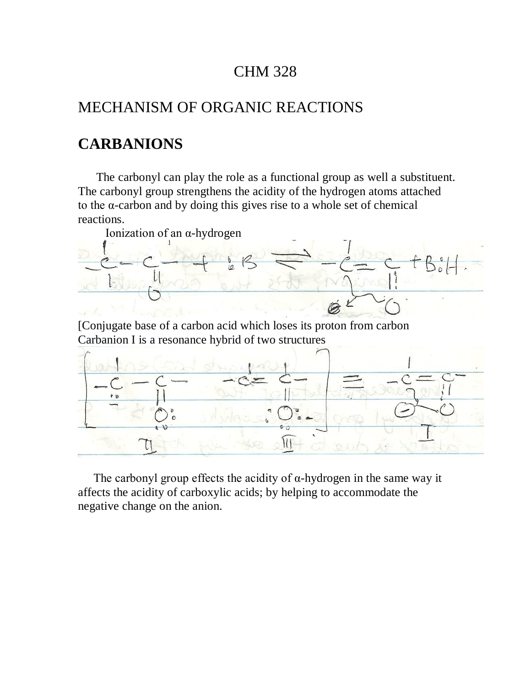## CHM 328

## MECHANISM OF ORGANIC REACTIONS

## **CARBANIONS**

 The carbonyl can play the role as a functional group as well a substituent. The carbonyl group strengthens the acidity of the hydrogen atoms attached to the α-carbon and by doing this gives rise to a whole set of chemical reactions.



The carbonyl group effects the acidity of  $\alpha$ -hydrogen in the same way it affects the acidity of carboxylic acids; by helping to accommodate the negative change on the anion.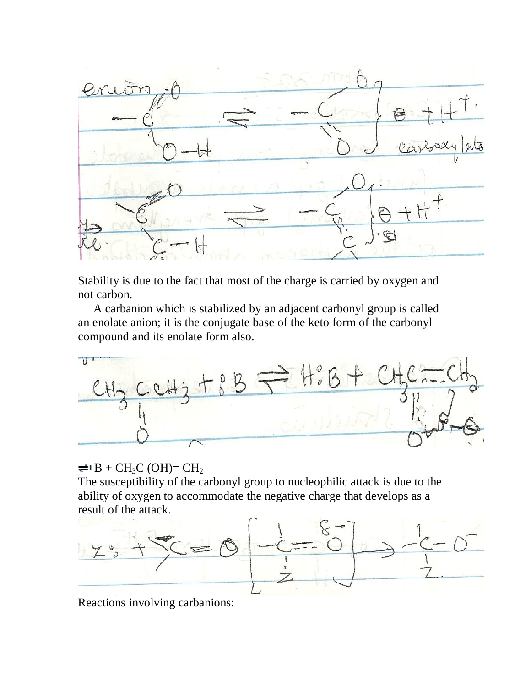

Stability is due to the fact that most of the charge is carried by oxygen and not carbon.

 A carbanion which is stabilized by an adjacent carbonyl group is called an enolate anion; it is the conjugate base of the keto form of the carbonyl compound and its enolate form also.



 $\rightleftharpoons$  B + CH<sub>3</sub>C (OH)= CH<sub>2</sub>

The susceptibility of the carbonyl group to nucleophilic attack is due to the ability of oxygen to accommodate the negative charge that develops as a result of the attack.



Reactions involving carbanions: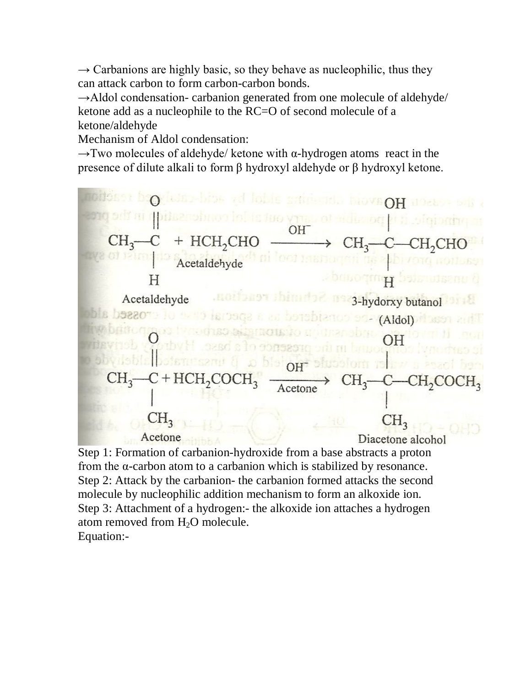$\rightarrow$  Carbanions are highly basic, so they behave as nucleophilic, thus they can attack carbon to form carbon-carbon bonds.

 $\rightarrow$ Aldol condensation- carbanion generated from one molecule of aldehyde/ ketone add as a nucleophile to the RC=O of second molecule of a ketone/aldehyde

Mechanism of Aldol condensation:

 $\rightarrow$ Two molecules of aldehyde/ ketone with  $\alpha$ -hydrogen atoms react in the presence of dilute alkali to form β hydroxyl aldehyde or β hydroxyl ketone.



Step 1: Formation of carbanion-hydroxide from a base abstracts a proton from the α-carbon atom to a carbanion which is stabilized by resonance. Step 2: Attack by the carbanion- the carbanion formed attacks the second molecule by nucleophilic addition mechanism to form an alkoxide ion. Step 3: Attachment of a hydrogen:- the alkoxide ion attaches a hydrogen atom removed from  $H_2O$  molecule. Equation:-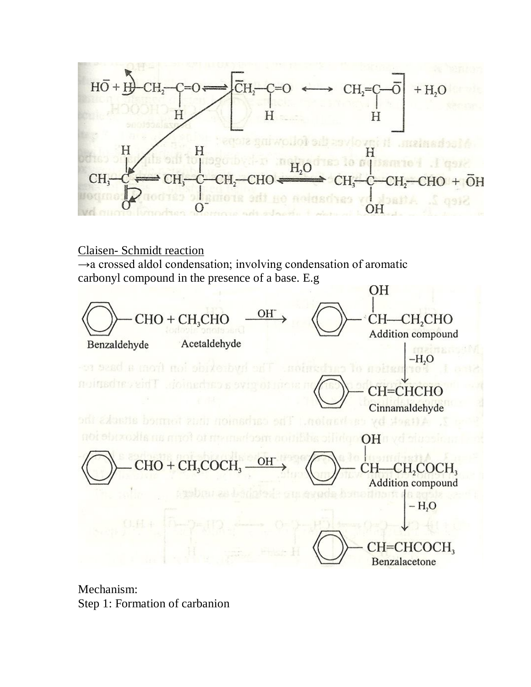



Mechanism: Step 1: Formation of carbanion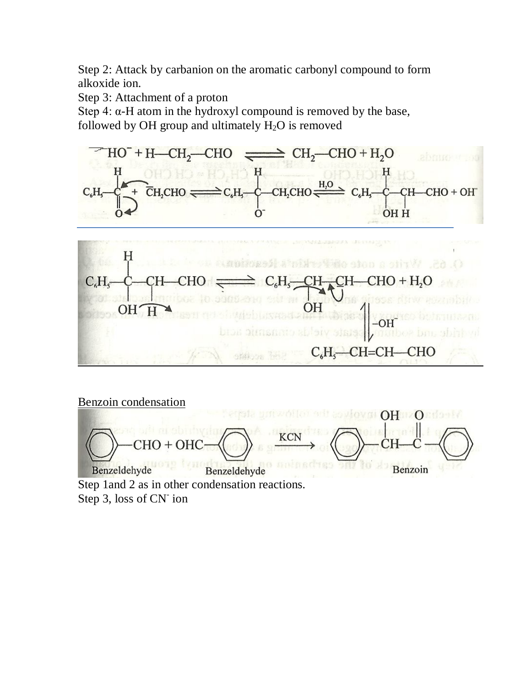Step 2: Attack by carbanion on the aromatic carbonyl compound to form alkoxide ion.

Step 3: Attachment of a proton

Step 4:  $\alpha$ -H atom in the hydroxyl compound is removed by the base, followed by OH group and ultimately  $H_2O$  is removed



Benzoin condensation



Step 1and 2 as in other condensation reactions. Step 3, loss of CN<sup>-</sup> ion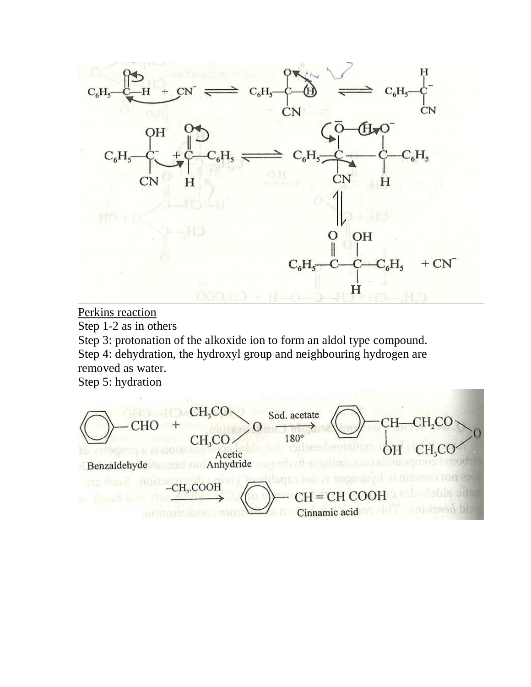

Perkins reaction

Step 1-2 as in others

Step 3: protonation of the alkoxide ion to form an aldol type compound. Step 4: dehydration, the hydroxyl group and neighbouring hydrogen are removed as water.

Step 5: hydration

 $CH_3CO$ Sod. acetate CH<sub>2</sub>CO `H-**CHO**  $\Omega$ 180° CH<sub>2</sub>CO. min CH, CO  $\bigcap$ Acetic<br>Anhydride Benzaldehyde  $-CH<sub>3</sub>$ .COOH  $CH = C$ Cinnamic acid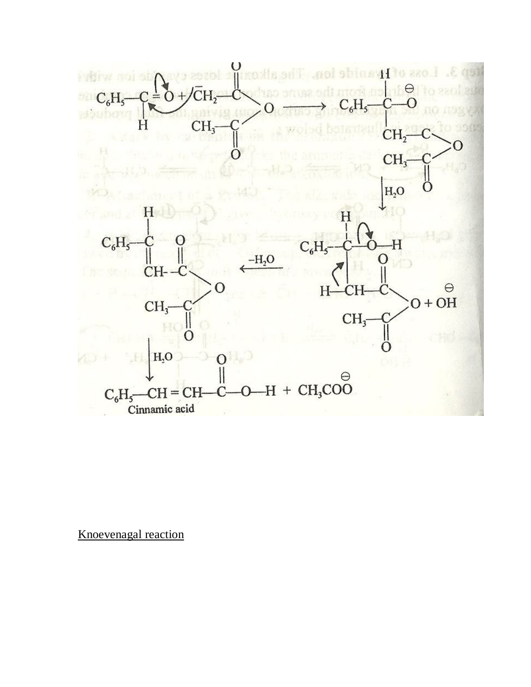

Knoevenagal reaction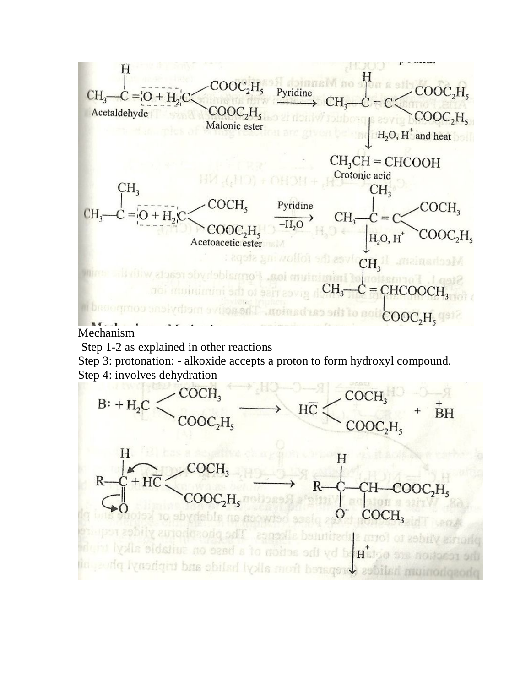

Mechanism

Step 1-2 as explained in other reactions

Step 3: protonation: - alkoxide accepts a proton to form hydroxyl compound. Step 4: involves dehydration

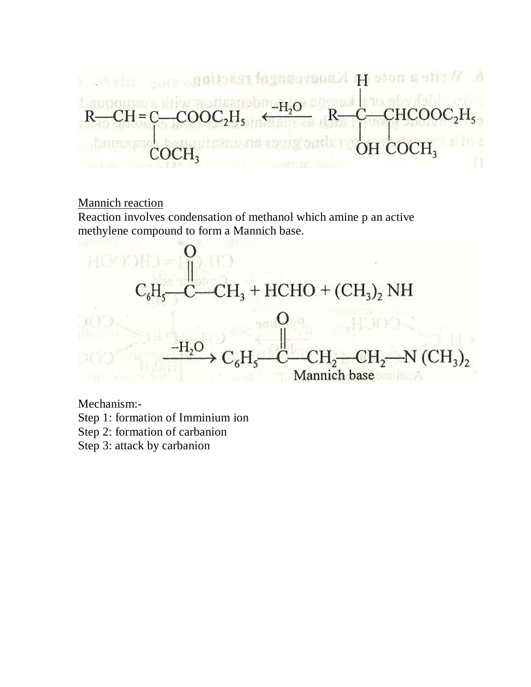geitoast isgasovaoaki H sion a stir N - 19  $-H<sub>o</sub>$ :HCO0 OH COCH,  $OCH<sub>3</sub>$ 

## Mannich reaction

Reaction involves condensation of methanol which amine p an active methylene compound to form a Mannich base.



Mechanism:-

- Step 1: formation of Imminium ion
- Step 2: formation of carbanion
- Step 3: attack by carbanion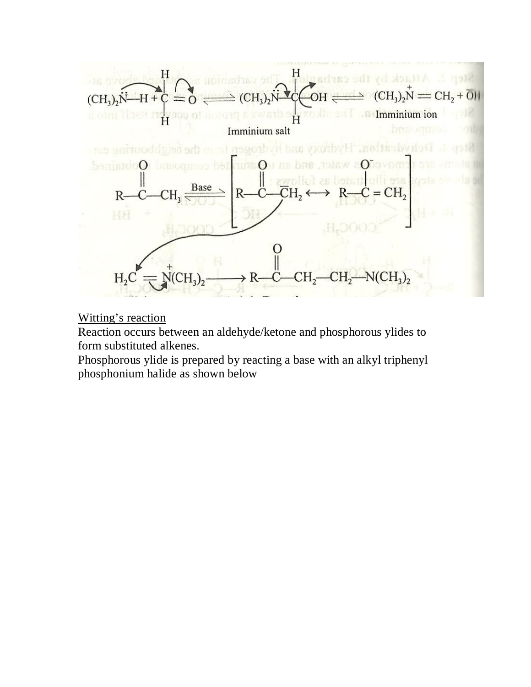

Witting's reaction

Reaction occurs between an aldehyde/ketone and phosphorous ylides to form substituted alkenes.

Phosphorous ylide is prepared by reacting a base with an alkyl triphenyl phosphonium halide as shown below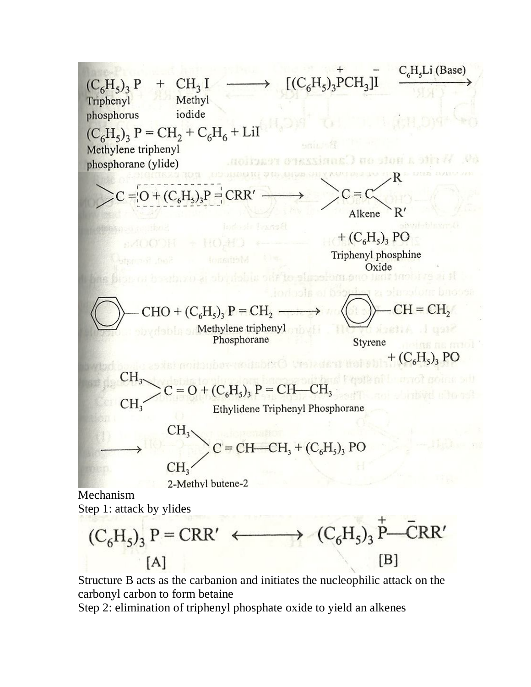$$
(C_6H_5)_3 P + CH_3 I \longrightarrow [(C_6H_5)_3PCH_3]I \xrightarrow{C_6H_5Li(Base)}
$$
\n
$$
(C_6H_5)_3 P = CH_2 + C_6H_6 + Li
$$
\n  
\nMethylene triphenyi  
\nphosphorane (ylide)  
\n
$$
CC = [O + (C_6H_5)_3P] = CRR'
$$
\n
$$
C = C
$$
\n
$$
C = C
$$
\n
$$
C = C
$$
\n
$$
C = C
$$
\n
$$
C = C
$$
\n
$$
C = C
$$
\n
$$
C = C
$$
\n
$$
C = C
$$
\n
$$
C = C
$$
\n
$$
C = C
$$
\n
$$
C = C
$$
\n
$$
C = C
$$
\n
$$
C = C
$$
\n
$$
C = C
$$
\n
$$
C = C
$$
\n
$$
C = C
$$
\n
$$
C = C
$$
\n
$$
C = C
$$
\n
$$
C = C
$$
\n
$$
C = C
$$
\n
$$
C = C
$$
\n
$$
C = C
$$
\n
$$
C = C
$$
\n
$$
C = C
$$
\n
$$
C = C
$$
\n
$$
C = C
$$
\n
$$
C = C
$$
\n
$$
C = C
$$
\n
$$
C = C
$$
\n
$$
C = C
$$
\n
$$
C = C
$$
\n
$$
C = C
$$
\n
$$
C = C
$$
\n
$$
C = C
$$
\n
$$
C = C
$$
\n
$$
C
$$
\n
$$
C
$$
\n
$$
C
$$
\n
$$
C
$$
\n
$$
C
$$
\n
$$
C
$$
\n
$$
C
$$
\n
$$
C
$$
\n
$$
C
$$
\n
$$
C
$$
\n
$$
C
$$
\n
$$
C
$$
\n
$$
C
$$
\n
$$
C
$$
\n
$$
C
$$
\n<math display="block</math>

Structure B acts as the carbanion and initiates the nucleophilic attack on the carbonyl carbon to form betaine

Step 2: elimination of triphenyl phosphate oxide to yield an alkenes